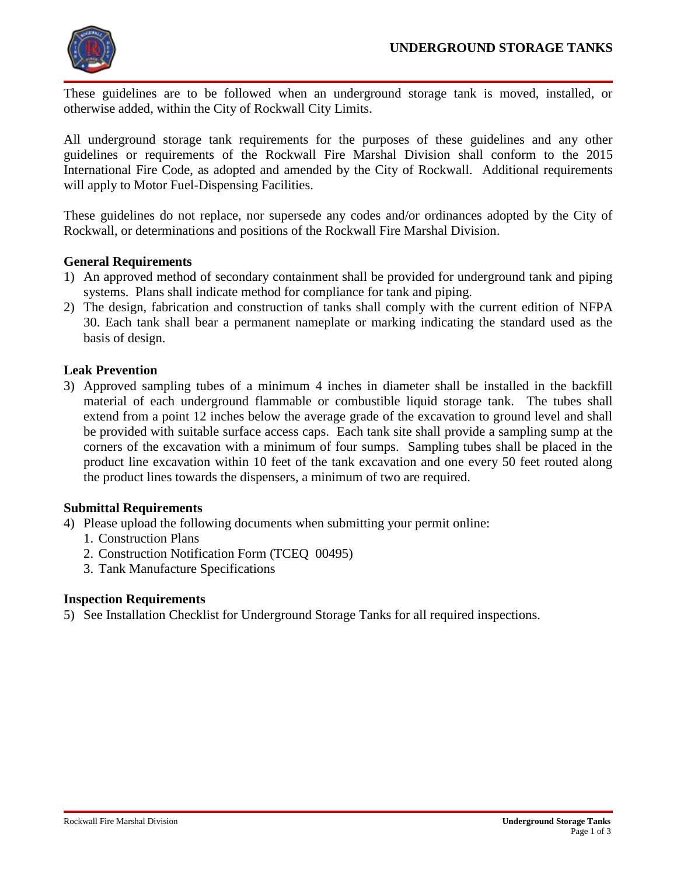

These guidelines are to be followed when an underground storage tank is moved, installed, or otherwise added, within the City of Rockwall City Limits.

All underground storage tank requirements for the purposes of these guidelines and any other guidelines or requirements of the Rockwall Fire Marshal Division shall conform to the 2015 International Fire Code, as adopted and amended by the City of Rockwall. Additional requirements will apply to Motor Fuel-Dispensing Facilities.

These guidelines do not replace, nor supersede any codes and/or ordinances adopted by the City of Rockwall, or determinations and positions of the Rockwall Fire Marshal Division.

# **General Requirements**

- 1) An approved method of secondary containment shall be provided for underground tank and piping systems. Plans shall indicate method for compliance for tank and piping.
- 2) The design, fabrication and construction of tanks shall comply with the current edition of NFPA 30. Each tank shall bear a permanent nameplate or marking indicating the standard used as the basis of design.

# **Leak Prevention**

3) Approved sampling tubes of a minimum 4 inches in diameter shall be installed in the backfill material of each underground flammable or combustible liquid storage tank. The tubes shall extend from a point 12 inches below the average grade of the excavation to ground level and shall be provided with suitable surface access caps. Each tank site shall provide a sampling sump at the corners of the excavation with a minimum of four sumps. Sampling tubes shall be placed in the product line excavation within 10 feet of the tank excavation and one every 50 feet routed along the product lines towards the dispensers, a minimum of two are required.

## **Submittal Requirements**

- 4) Please upload the following documents when submitting your permit online:
	- 1. Construction Plans
	- 2. Construction Notification Form (TCEQ 00495)
	- 3. Tank Manufacture Specifications

## **Inspection Requirements**

5) See Installation Checklist for Underground Storage Tanks for all required inspections.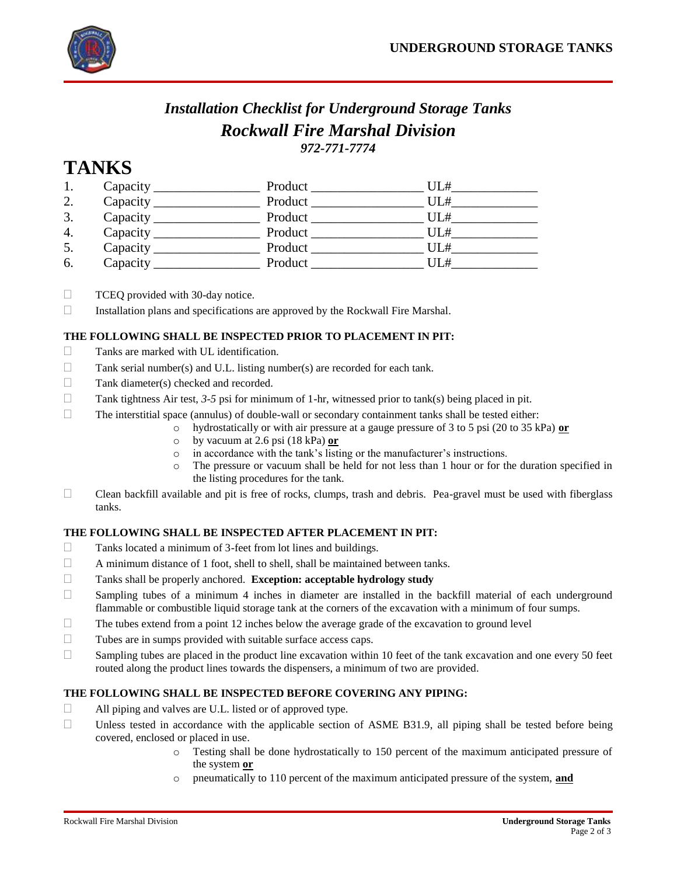

# *Installation Checklist for Underground Storage Tanks Rockwall Fire Marshal Division 972-771-7774*

# **TANKS**

|    | Capacity | Product | UL# |  |
|----|----------|---------|-----|--|
| 2. | Capacity | Product | UL# |  |
| 3. | Capacity | Product | UL# |  |
| 4. | Capacity | Product | UL# |  |
| 5. | Capacity | Product | UL# |  |
| 6. | Capacity | Product | UL# |  |

 $\Box$  TCEQ provided with 30-day notice.

 $\Box$  Installation plans and specifications are approved by the Rockwall Fire Marshal.

#### **THE FOLLOWING SHALL BE INSPECTED PRIOR TO PLACEMENT IN PIT:**

- Tanks are marked with UL identification.
- $\Box$  Tank serial number(s) and U.L. listing number(s) are recorded for each tank.
- □ Tank diameter(s) checked and recorded.
- Tank tightness Air test,  $3-5$  psi for minimum of 1-hr, witnessed prior to tank(s) being placed in pit.
- $\Box$  The interstitial space (annulus) of double-wall or secondary containment tanks shall be tested either:
	- o hydrostatically or with air pressure at a gauge pressure of 3 to 5 psi (20 to 35 kPa) **or**
	- o by vacuum at 2.6 psi (18 kPa) **or**
	- o in accordance with the tank's listing or the manufacturer's instructions.
	- o The pressure or vacuum shall be held for not less than 1 hour or for the duration specified in the listing procedures for the tank.
- $\Box$  Clean backfill available and pit is free of rocks, clumps, trash and debris. Pea-gravel must be used with fiberglass tanks.

#### **THE FOLLOWING SHALL BE INSPECTED AFTER PLACEMENT IN PIT:**

- Tanks located a minimum of 3-feet from lot lines and buildings.
- $\Box$  A minimum distance of 1 foot, shell to shell, shall be maintained between tanks.
- Tanks shall be properly anchored. **Exception: acceptable hydrology study**
- $\Box$  Sampling tubes of a minimum 4 inches in diameter are installed in the backfill material of each underground flammable or combustible liquid storage tank at the corners of the excavation with a minimum of four sumps.
- $\Box$  The tubes extend from a point 12 inches below the average grade of the excavation to ground level
- $\Box$  Tubes are in sumps provided with suitable surface access caps.
- $\Box$  Sampling tubes are placed in the product line excavation within 10 feet of the tank excavation and one every 50 feet routed along the product lines towards the dispensers, a minimum of two are provided.

#### **THE FOLLOWING SHALL BE INSPECTED BEFORE COVERING ANY PIPING:**

- $\Box$  All piping and valves are U.L. listed or of approved type.
- $\Box$  Unless tested in accordance with the applicable section of ASME B31.9, all piping shall be tested before being covered, enclosed or placed in use.
	- o Testing shall be done hydrostatically to 150 percent of the maximum anticipated pressure of the system **or**
	- o pneumatically to 110 percent of the maximum anticipated pressure of the system, **and**